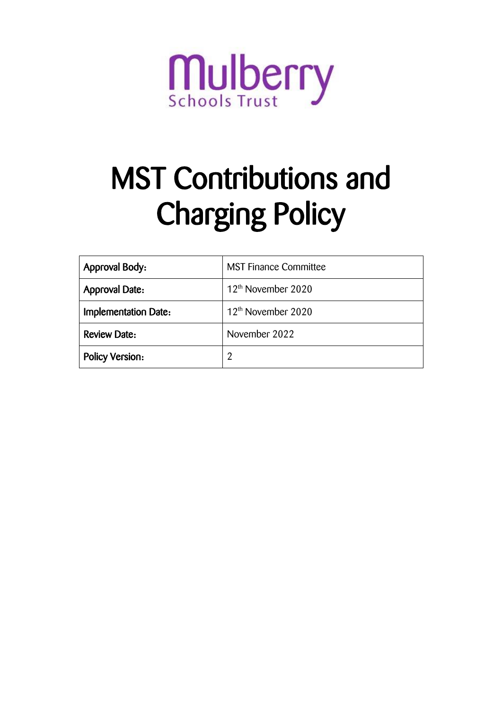

# MST Contributions and Charging Policy

| <b>Approval Body:</b>       | <b>MST Finance Committee</b>   |
|-----------------------------|--------------------------------|
| <b>Approval Date:</b>       | 12 <sup>th</sup> November 2020 |
| <b>Implementation Date:</b> | 12 <sup>th</sup> November 2020 |
| <b>Review Date:</b>         | November 2022                  |
| <b>Policy Version:</b>      | 2                              |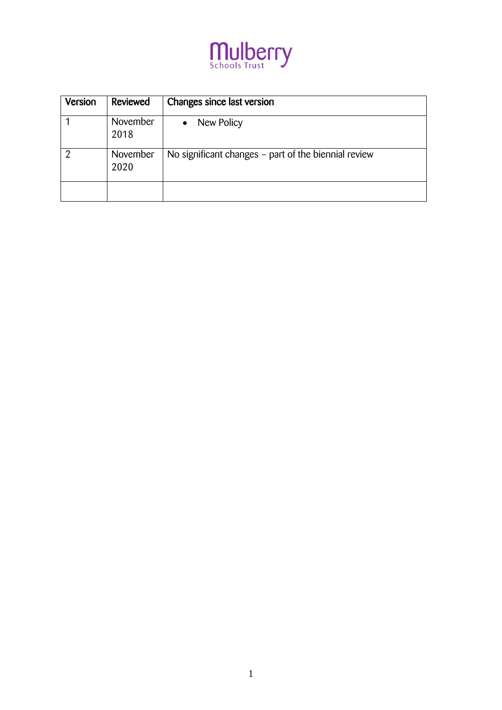

| Version | Reviewed         | Changes since last version                           |
|---------|------------------|------------------------------------------------------|
|         | November<br>2018 | New Policy<br>$\bullet$                              |
| റ       | November<br>2020 | No significant changes – part of the biennial review |
|         |                  |                                                      |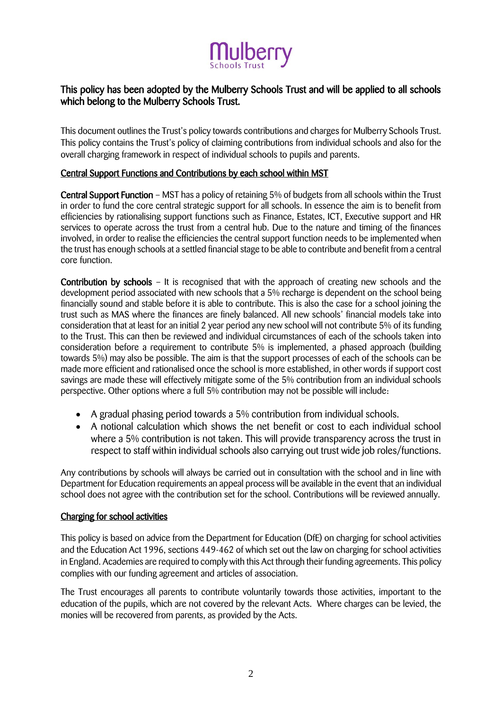

# This policy has been adopted by the Mulberry Schools Trust and will be applied to all schools which belong to the Mulberry Schools Trust.

This document outlines the Trust's policy towards contributions and charges for Mulberry Schools Trust. This policy contains the Trust's policy of claiming contributions from individual schools and also for the overall charging framework in respect of individual schools to pupils and parents.

# Central Support Functions and Contributions by each school within MST

Central Support Function – MST has a policy of retaining 5% of budgets from all schools within the Trust in order to fund the core central strategic support for all schools. In essence the aim is to benefit from efficiencies by rationalising support functions such as Finance, Estates, ICT, Executive support and HR services to operate across the trust from a central hub. Due to the nature and timing of the finances involved, in order to realise the efficiencies the central support function needs to be implemented when the trust has enough schools at a settled financial stage to be able to contribute and benefit from a central core function.

Contribution by schools – It is recognised that with the approach of creating new schools and the development period associated with new schools that a 5% recharge is dependent on the school being financially sound and stable before it is able to contribute. This is also the case for a school joining the trust such as MAS where the finances are finely balanced. All new schools' financial models take into consideration that at least for an initial 2 year period any new school will not contribute 5% of its funding to the Trust. This can then be reviewed and individual circumstances of each of the schools taken into consideration before a requirement to contribute 5% is implemented, a phased approach (building towards 5%) may also be possible. The aim is that the support processes of each of the schools can be made more efficient and rationalised once the school is more established, in other words if support cost savings are made these will effectively mitigate some of the 5% contribution from an individual schools perspective. Other options where a full 5% contribution may not be possible will include:

- A gradual phasing period towards a 5% contribution from individual schools.
- A notional calculation which shows the net benefit or cost to each individual school where a 5% contribution is not taken. This will provide transparency across the trust in respect to staff within individual schools also carrying out trust wide job roles/functions.

Any contributions by schools will always be carried out in consultation with the school and in line with Department for Education requirements an appeal process will be available in the event that an individual school does not agree with the contribution set for the school. Contributions will be reviewed annually.

#### Charging for school activities

This policy is based on advice from the Department for Education (DfE) on charging for school activities and the Education Act 1996, sections 449-462 of which set out the law on charging for school activities in England. Academies are required to comply with this Act through their funding agreements. This policy complies with our funding agreement and articles of association.

The Trust encourages all parents to contribute voluntarily towards those activities, important to the education of the pupils, which are not covered by the relevant Acts. Where charges can be levied, the monies will be recovered from parents, as provided by the Acts.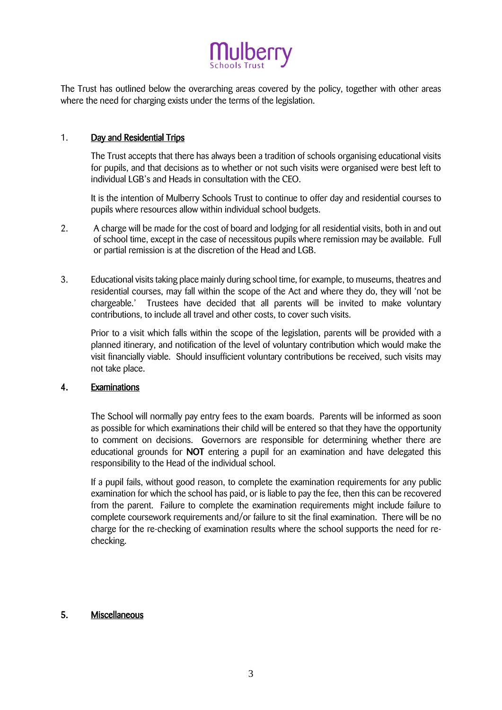

The Trust has outlined below the overarching areas covered by the policy, together with other areas where the need for charging exists under the terms of the legislation.

## 1. Day and Residential Trips

The Trust accepts that there has always been a tradition of schools organising educational visits for pupils, and that decisions as to whether or not such visits were organised were best left to individual LGB's and Heads in consultation with the CEO.

It is the intention of Mulberry Schools Trust to continue to offer day and residential courses to pupils where resources allow within individual school budgets.

- 2. A charge will be made for the cost of board and lodging for all residential visits, both in and out of school time, except in the case of necessitous pupils where remission may be available. Full or partial remission is at the discretion of the Head and LGB.
- 3. Educational visits taking place mainly during school time, for example, to museums, theatres and residential courses, may fall within the scope of the Act and where they do, they will 'not be chargeable.' Trustees have decided that all parents will be invited to make voluntary contributions, to include all travel and other costs, to cover such visits.

Prior to a visit which falls within the scope of the legislation, parents will be provided with a planned itinerary, and notification of the level of voluntary contribution which would make the visit financially viable. Should insufficient voluntary contributions be received, such visits may not take place.

#### 4. Examinations

The School will normally pay entry fees to the exam boards. Parents will be informed as soon as possible for which examinations their child will be entered so that they have the opportunity to comment on decisions. Governors are responsible for determining whether there are educational grounds for **NOT** entering a pupil for an examination and have delegated this responsibility to the Head of the individual school.

If a pupil fails, without good reason, to complete the examination requirements for any public examination for which the school has paid, or is liable to pay the fee, then this can be recovered from the parent. Failure to complete the examination requirements might include failure to complete coursework requirements and/or failure to sit the final examination. There will be no charge for the re-checking of examination results where the school supports the need for rechecking.

## 5. Miscellaneous